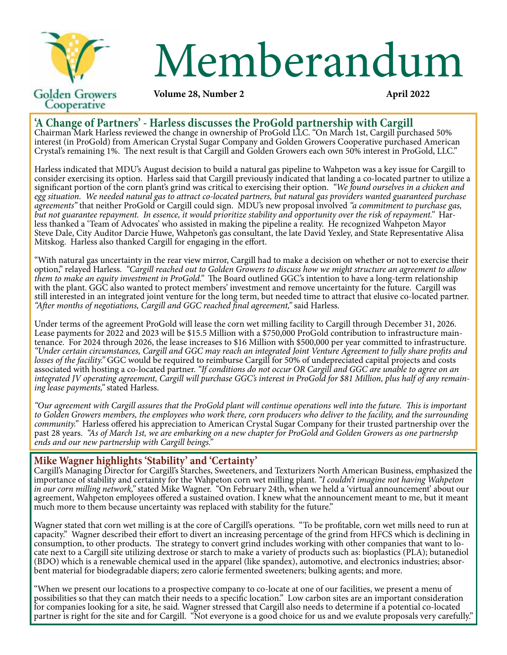

# Memberandum **April 2022**

## **Volume 28, Number 2**

# **'A Change of Partners' - Harless discusses the ProGold partnership with Cargill**

Chairman Mark Harless reviewed the change in ownership of ProGold LLC. "On March 1st, Cargill purchased 50% interest (in ProGold) from American Crystal Sugar Company and Golden Growers Cooperative purchased American Crystal's remaining 1%. The next result is that Cargill and Golden Growers each own 50% interest in ProGold, LLC."

Harless indicated that MDU's August decision to build a natural gas pipeline to Wahpeton was a key issue for Cargill to consider exercising its option. Harless said that Cargill previously indicated that landing a co-located partner to utilize a significant portion of the corn plant's grind was critical to exercising their option. *"We found ourselves in a chicken and egg situation. We needed natural gas to attract co-located partners, but natural gas providers wanted guaranteed purchase agreements"* that neither ProGold or Cargill could sign. MDU's new proposal involved *"a commitment to purchase gas,*  but not guarantee repayment. In essence, it would prioritize stability and opportunity over the risk of repayment." Harless thanked a 'Team of Advocates' who assisted in making the pipeline a reality. He recognized Wahpeto Steve Dale, City Auditor Darcie Huwe, Wahpeton's gas consultant, the late David Yexley, and State Representative Alisa Mitskog. Harless also thanked Cargill for engaging in the effort.

"With natural gas uncertainty in the rear view mirror, Cargill had to make a decision on whether or not to exercise their option," relayed Harless. *"Cargill reached out to Golden Growers to discuss how we might structure an agreement to allow them to make an equity investment in ProGold."* The Board outlined GGC's intention to have a long-term relationship with the plant. GGC also wanted to protect members' investment and remove uncertainty for the future. Cargill was still interested in an integrated joint venture for the long term, but needed time to attract that elusive co-located partner. *"After months of negotiations, Cargill and GGC reached final agreement,"* said Harless.

Under terms of the agreement ProGold will lease the corn wet milling facility to Cargill through December 31, 2026.<br>Lease payments for 2022 and 2023 will be \$15.5 Million with a \$750,000 ProGold contribution to infrastruct tenance. For 2024 through 2026, the lease increases to \$16 Million with \$500,000 per year committed to infrastructure. *"Under certain circumstances, Cargill and GGC may reach an integrated Joint Venture Agreement to fully share profits and losses of the facility."* GGC would be required to reimburse Cargill for 50% of undepreciated capital projects and costs associated with hosting a co-located partner. *"If conditions do not occur OR Cargill and GGC are unable to agree on an integrated JV operating agreement, Cargill will purchase GGC's interest in ProGold for \$81 Million, plus half of any remaining lease payments,"* stated Harless.

*"Our agreement with Cargill assures that the ProGold plant will continue operations well into the future. This is important to Golden Growers members, the employees who work there, corn producers who deliver to the facility, and the surrounding community."* Harless offered his appreciation to American Crystal Sugar Company for their trusted partnership over the past 28 years. *"As of March 1st, we are embarking on a new chapter for ProGold and Golden Growers as one partnershp ends and our new partnership with Cargill beings."*

# **Mike Wagner highlights 'Stability' and 'Certainty'**

Cargill's Managing Director for Cargill's Starches, Sweeteners, and Texturizers North American Business, emphasized the importance of stability and certainty for the Wahpeton corn wet milling plant. *"I couldn't imagine not having Wahpeton in our corn milling network,"* stated Mike Wagner. "On February 24th, when we held a 'virtual announcement' about our agreement, Wahpeton employees offered a sustained ovation. I knew what the announcement meant to me, but it meant much more to them because uncertainty was replaced with stability for the future."

Wagner stated that corn wet milling is at the core of Cargill's operations. "To be profitable, corn wet mills need to run at capacity." Wagner described their effort to divert an increasing percentage of the grind from HFCS which is declining in consumption, to other products. The strategy to convert grind includes working with other companies that want to locate next to a Cargill site utilizing dextrose or starch to make a variety of products such as: bioplastics (PLA); butanediol (BDO) which is a renewable chemical used in the apparel (like spandex), automotive, and electronics industries; absorbent material for biodegradable diapers; zero calorie fermented sweeteners; bulking agents; and more.

"When we present our locations to a prospective company to co-locate at one of our facilities, we present a menu of possibilities so that they can match their needs to a specific location." Low carbon sites are an important consideration for companies looking for a site, he said. Wagner stressed that Cargill also needs to determine if a potential co-located partner is right for the site and for Cargill. "Not everyone is a good choice for us and we evalute proposals very carefully."